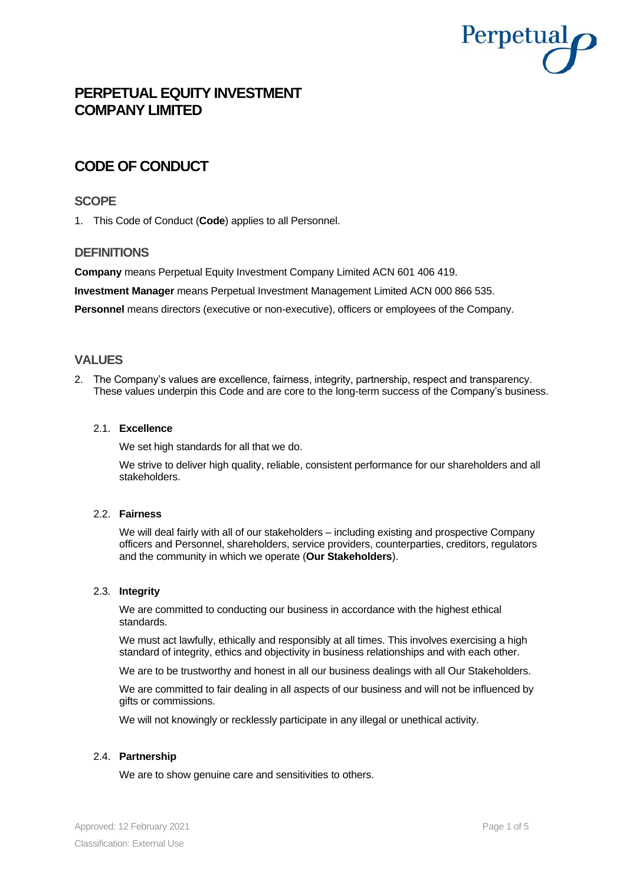

# **PERPETUAL EQUITY INVESTMENT COMPANY LIMITED**

# **CODE OF CONDUCT**

# **SCOPE**

1. This Code of Conduct (**Code**) applies to all Personnel.

# **DEFINITIONS**

**Company** means Perpetual Equity Investment Company Limited ACN 601 406 419.

**Investment Manager** means Perpetual Investment Management Limited ACN 000 866 535.

**Personnel** means directors (executive or non-executive), officers or employees of the Company.

# **VALUES**

2. The Company's values are excellence, fairness, integrity, partnership, respect and transparency. These values underpin this Code and are core to the long-term success of the Company's business.

#### 2.1. **Excellence**

We set high standards for all that we do.

We strive to deliver high quality, reliable, consistent performance for our shareholders and all stakeholders.

### 2.2. **Fairness**

We will deal fairly with all of our stakeholders – including existing and prospective Company officers and Personnel, shareholders, service providers, counterparties, creditors, regulators and the community in which we operate (**Our Stakeholders**).

### 2.3. **Integrity**

We are committed to conducting our business in accordance with the highest ethical standards.

We must act lawfully, ethically and responsibly at all times. This involves exercising a high standard of integrity, ethics and objectivity in business relationships and with each other.

We are to be trustworthy and honest in all our business dealings with all Our Stakeholders.

We are committed to fair dealing in all aspects of our business and will not be influenced by gifts or commissions.

We will not knowingly or recklessly participate in any illegal or unethical activity.

### 2.4. **Partnership**

We are to show genuine care and sensitivities to others.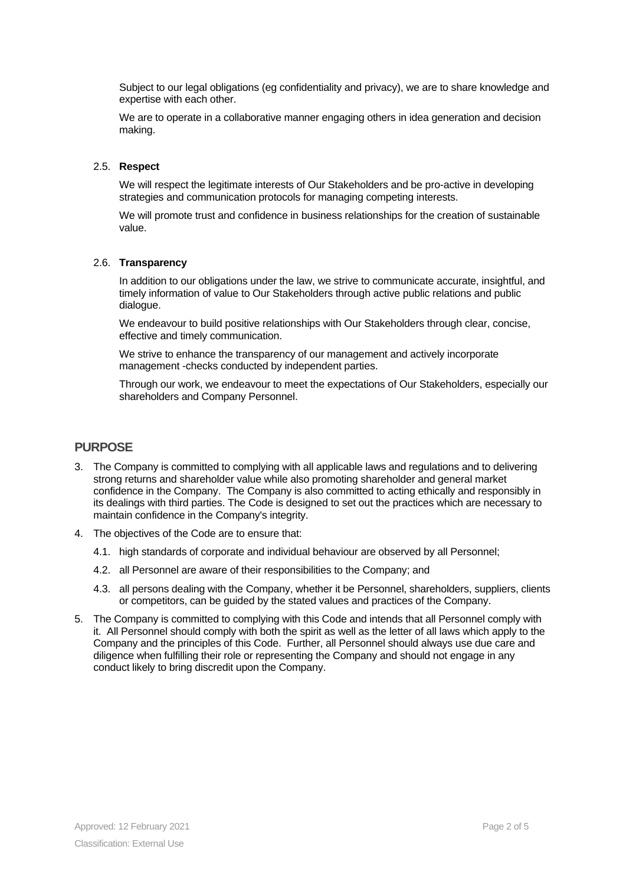Subject to our legal obligations (eg confidentiality and privacy), we are to share knowledge and expertise with each other.

We are to operate in a collaborative manner engaging others in idea generation and decision making.

#### 2.5. **Respect**

We will respect the legitimate interests of Our Stakeholders and be pro-active in developing strategies and communication protocols for managing competing interests.

We will promote trust and confidence in business relationships for the creation of sustainable value.

#### 2.6. **Transparency**

In addition to our obligations under the law, we strive to communicate accurate, insightful, and timely information of value to Our Stakeholders through active public relations and public dialogue.

We endeavour to build positive relationships with Our Stakeholders through clear, concise, effective and timely communication.

We strive to enhance the transparency of our management and actively incorporate management -checks conducted by independent parties.

Through our work, we endeavour to meet the expectations of Our Stakeholders, especially our shareholders and Company Personnel.

## **PURPOSE**

- 3. The Company is committed to complying with all applicable laws and regulations and to delivering strong returns and shareholder value while also promoting shareholder and general market confidence in the Company. The Company is also committed to acting ethically and responsibly in its dealings with third parties. The Code is designed to set out the practices which are necessary to maintain confidence in the Company's integrity.
- 4. The objectives of the Code are to ensure that:
	- 4.1. high standards of corporate and individual behaviour are observed by all Personnel;
	- 4.2. all Personnel are aware of their responsibilities to the Company; and
	- 4.3. all persons dealing with the Company, whether it be Personnel, shareholders, suppliers, clients or competitors, can be guided by the stated values and practices of the Company.
- 5. The Company is committed to complying with this Code and intends that all Personnel comply with it. All Personnel should comply with both the spirit as well as the letter of all laws which apply to the Company and the principles of this Code. Further, all Personnel should always use due care and diligence when fulfilling their role or representing the Company and should not engage in any conduct likely to bring discredit upon the Company.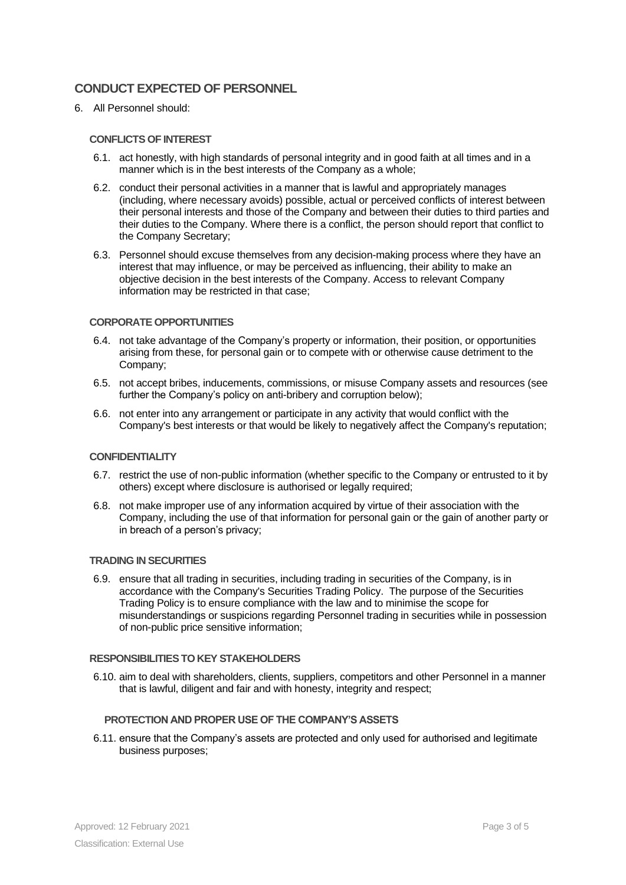# **CONDUCT EXPECTED OF PERSONNEL**

6. All Personnel should:

#### **CONFLICTS OF INTEREST**

- 6.1. act honestly, with high standards of personal integrity and in good faith at all times and in a manner which is in the best interests of the Company as a whole;
- 6.2. conduct their personal activities in a manner that is lawful and appropriately manages (including, where necessary avoids) possible, actual or perceived conflicts of interest between their personal interests and those of the Company and between their duties to third parties and their duties to the Company. Where there is a conflict, the person should report that conflict to the Company Secretary;
- 6.3. Personnel should excuse themselves from any decision-making process where they have an interest that may influence, or may be perceived as influencing, their ability to make an objective decision in the best interests of the Company. Access to relevant Company information may be restricted in that case;

#### **CORPORATE OPPORTUNITIES**

- 6.4. not take advantage of the Company's property or information, their position, or opportunities arising from these, for personal gain or to compete with or otherwise cause detriment to the Company;
- 6.5. not accept bribes, inducements, commissions, or misuse Company assets and resources (see further the Company's policy on anti-bribery and corruption below);
- 6.6. not enter into any arrangement or participate in any activity that would conflict with the Company's best interests or that would be likely to negatively affect the Company's reputation;

#### **CONFIDENTIALITY**

- 6.7. restrict the use of non-public information (whether specific to the Company or entrusted to it by others) except where disclosure is authorised or legally required;
- 6.8. not make improper use of any information acquired by virtue of their association with the Company, including the use of that information for personal gain or the gain of another party or in breach of a person's privacy;

#### **TRADING IN SECURITIES**

6.9. ensure that all trading in securities, including trading in securities of the Company, is in accordance with the Company's Securities Trading Policy. The purpose of the Securities Trading Policy is to ensure compliance with the law and to minimise the scope for misunderstandings or suspicions regarding Personnel trading in securities while in possession of non-public price sensitive information;

#### **RESPONSIBILITIES TO KEY STAKEHOLDERS**

6.10. aim to deal with shareholders, clients, suppliers, competitors and other Personnel in a manner that is lawful, diligent and fair and with honesty, integrity and respect;

#### **PROTECTION AND PROPER USE OF THE COMPANY'S ASSETS**

6.11. ensure that the Company's assets are protected and only used for authorised and legitimate business purposes;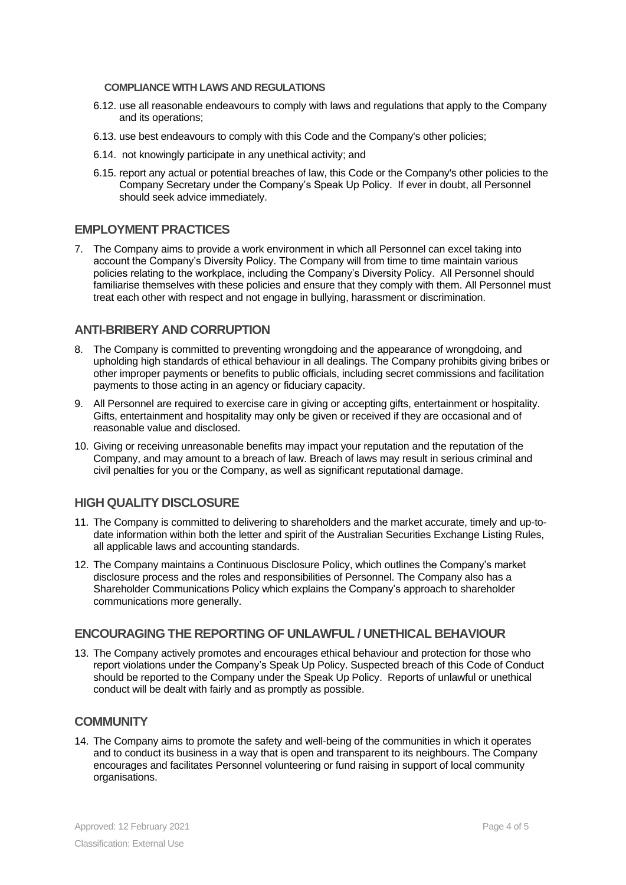### **COMPLIANCE WITH LAWS AND REGULATIONS**

- 6.12. use all reasonable endeavours to comply with laws and regulations that apply to the Company and its operations;
- 6.13. use best endeavours to comply with this Code and the Company's other policies;
- 6.14. not knowingly participate in any unethical activity; and
- 6.15. report any actual or potential breaches of law, this Code or the Company's other policies to the Company Secretary under the Company's Speak Up Policy. If ever in doubt, all Personnel should seek advice immediately.

## **EMPLOYMENT PRACTICES**

7. The Company aims to provide a work environment in which all Personnel can excel taking into account the Company's Diversity Policy. The Company will from time to time maintain various policies relating to the workplace, including the Company's Diversity Policy. All Personnel should familiarise themselves with these policies and ensure that they comply with them. All Personnel must treat each other with respect and not engage in bullying, harassment or discrimination.

# **ANTI-BRIBERY AND CORRUPTION**

- 8. The Company is committed to preventing wrongdoing and the appearance of wrongdoing, and upholding high standards of ethical behaviour in all dealings. The Company prohibits giving bribes or other improper payments or benefits to public officials, including secret commissions and facilitation payments to those acting in an agency or fiduciary capacity.
- 9. All Personnel are required to exercise care in giving or accepting gifts, entertainment or hospitality. Gifts, entertainment and hospitality may only be given or received if they are occasional and of reasonable value and disclosed.
- 10. Giving or receiving unreasonable benefits may impact your reputation and the reputation of the Company, and may amount to a breach of law. Breach of laws may result in serious criminal and civil penalties for you or the Company, as well as significant reputational damage.

# **HIGH QUALITY DISCLOSURE**

- 11. The Company is committed to delivering to shareholders and the market accurate, timely and up-todate information within both the letter and spirit of the Australian Securities Exchange Listing Rules, all applicable laws and accounting standards.
- 12. The Company maintains a Continuous Disclosure Policy, which outlines the Company's market disclosure process and the roles and responsibilities of Personnel. The Company also has a Shareholder Communications Policy which explains the Company's approach to shareholder communications more generally.

### **ENCOURAGING THE REPORTING OF UNLAWFUL / UNETHICAL BEHAVIOUR**

13. The Company actively promotes and encourages ethical behaviour and protection for those who report violations under the Company's Speak Up Policy. Suspected breach of this Code of Conduct should be reported to the Company under the Speak Up Policy. Reports of unlawful or unethical conduct will be dealt with fairly and as promptly as possible.

### **COMMUNITY**

14. The Company aims to promote the safety and well-being of the communities in which it operates and to conduct its business in a way that is open and transparent to its neighbours. The Company encourages and facilitates Personnel volunteering or fund raising in support of local community organisations.